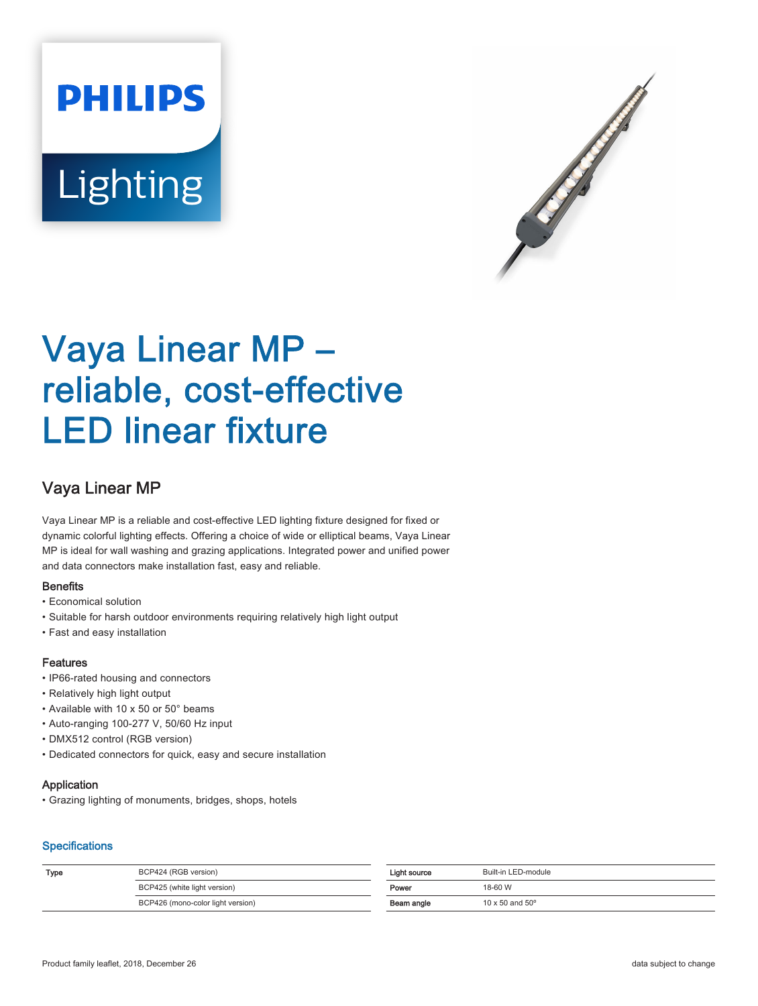# **PHILIPS** Lighting



# Vaya Linear MP – reliable, cost-effective LED linear fixture

## Vaya Linear MP

Vaya Linear MP is a reliable and cost-effective LED lighting fixture designed for fixed or dynamic colorful lighting effects. Offering a choice of wide or elliptical beams, Vaya Linear MP is ideal for wall washing and grazing applications. Integrated power and unified power and data connectors make installation fast, easy and reliable.

#### **Benefits**

- Economical solution
- Suitable for harsh outdoor environments requiring relatively high light output
- Fast and easy installation

#### Features

- IP66-rated housing and connectors
- Relatively high light output
- Available with 10 x 50 or 50° beams
- Auto-ranging 100-277 V, 50/60 Hz input
- DMX512 control (RGB version)
- Dedicated connectors for quick, easy and secure installation

#### Application

• Grazing lighting of monuments, bridges, shops, hotels

#### **Specifications**

| Type | BCP424 (RGB version)              | Light source | Built-in LED-module             |
|------|-----------------------------------|--------------|---------------------------------|
|      | BCP425 (white light version)      | Power        | 18-60 W                         |
|      | BCP426 (mono-color light version) | Beam angle   | $10 \times 50$ and $50^{\circ}$ |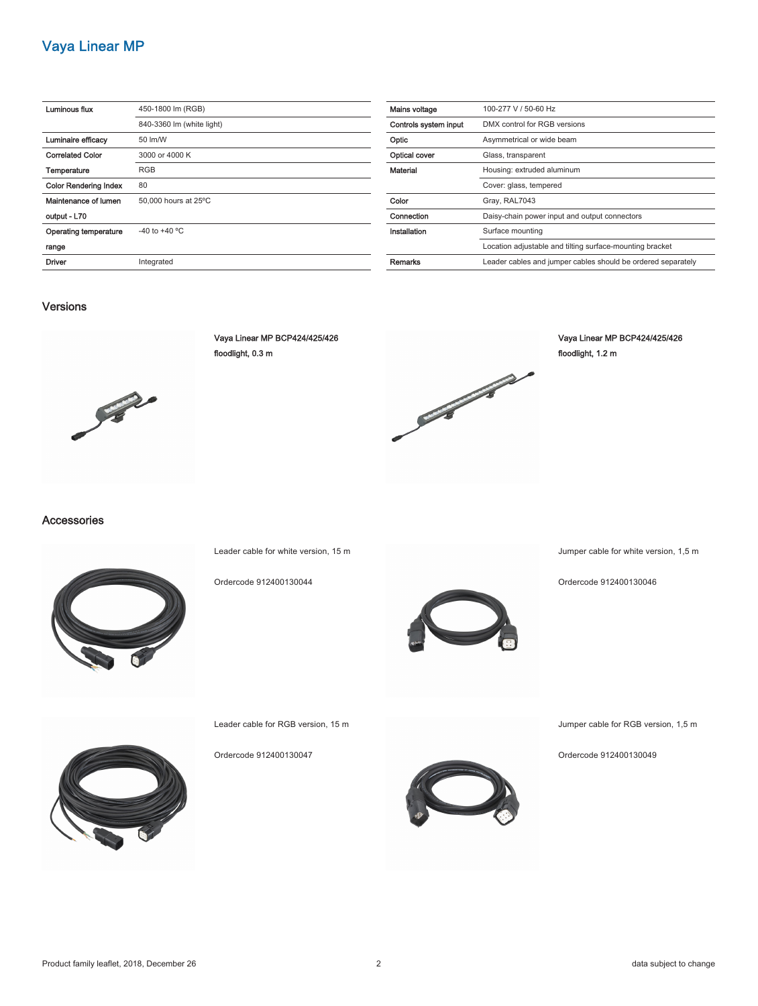### Vaya Linear MP

| Luminous flux                | 450-1800 lm (RGB)         |
|------------------------------|---------------------------|
|                              | 840-3360 lm (white light) |
| Luminaire efficacy           | 50 lm/W                   |
| <b>Correlated Color</b>      | 3000 or 4000 K            |
| Temperature                  | <b>RGB</b>                |
| <b>Color Rendering Index</b> | 80                        |
| Maintenance of lumen         | 50,000 hours at 25°C      |
| output - L70                 |                           |
| Operating temperature        | $-40$ to $+40$ °C         |
| range                        |                           |
| Driver                       | Integrated                |

| Mains voltage         | 100-277 V / 50-60 Hz                                         |
|-----------------------|--------------------------------------------------------------|
| Controls system input | DMX control for RGB versions                                 |
| Optic                 | Asymmetrical or wide beam                                    |
| Optical cover         | Glass, transparent                                           |
| Material              | Housing: extruded aluminum                                   |
|                       | Cover: glass, tempered                                       |
| Color                 | Gray, RAL7043                                                |
| Connection            | Daisy-chain power input and output connectors                |
| Installation          | Surface mounting                                             |
|                       | Location adjustable and tilting surface-mounting bracket     |
| Remarks               | Leader cables and jumper cables should be ordered separately |

#### Versions



Vaya Linear MP BCP424/425/426 floodlight, 0.3 m



Vaya Linear MP BCP424/425/426 floodlight, 1.2 m

#### Accessories



Leader cable for white version, 15 m

Ordercode 912400130044



Jumper cable for white version, 1,5 m

Ordercode 912400130046



Jumper cable for RGB version, 1,5 m

Ordercode 912400130049



Leader cable for RGB version, 15 m

Ordercode 912400130047

Product family leaflet, 2018, December 26 2 data subject to change